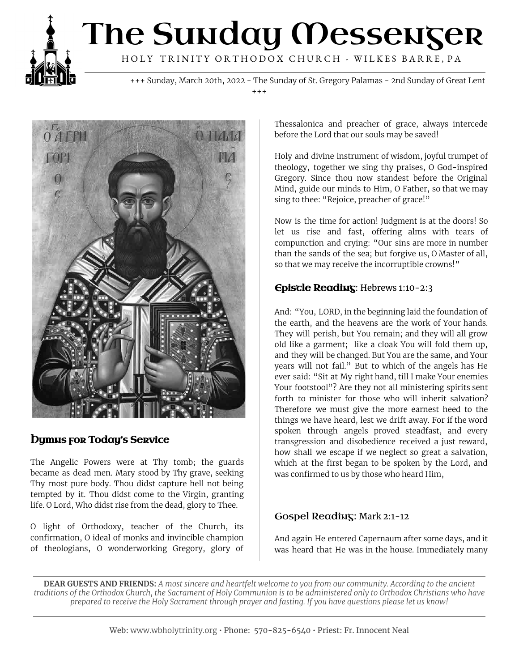

# The Sunday Messenger HOLY TRINITY ORTHODOX CHURCH - WILKES BARRE, PA

+++ Sunday, March 20th, 2022 - The Sunday of St. Gregory Palamas - 2nd Sunday of Great Lent  $+ + +$ 



### **Dymus for Today's Service**

The Angelic Powers were at Thy tomb; the guards became as dead men. Mary stood by Thy grave, seeking Thy most pure body. Thou didst capture hell not being tempted by it. Thou didst come to the Virgin, granting life. O Lord, Who didst rise from the dead, glory to Thee.

O light of Orthodoxy, teacher of the Church, its confirmation, O ideal of monks and invincible champion of theologians, O wonderworking Gregory, glory of

Thessalonica and preacher of grace, always intercede before the Lord that our souls may be saved!

Holy and divine instrument of wisdom, joyful trumpet of theology, together we sing thy praises, O God-inspired Gregory. Since thou now standest before the Original Mind, guide our minds to Him, O Father, so that we may sing to thee: "Rejoice, preacher of grace!"

Now is the time for action! Judgment is at the doors! So let us rise and fast, offering alms with tears of compunction and crying: "Our sins are more in number than the sands of the sea; but forgive us, O Master of all, so that we may receive the incorruptible crowns!"

#### Epistle Reading: Hebrews 1:10-2:3

And: "You, LORD, in the beginning laid the foundation of the earth, and the heavens are the work of Your hands. They will perish, but You remain; and they will all grow old like a garment; like a cloak You will fold them up, and they will be changed. But You are the same, and Your years will not fail." But to which of the angels has He ever said: "Sit at My right hand, till I make Your enemies Your footstool"? Are they not all ministering spirits sent forth to minister for those who will inherit salvation? Therefore we must give the more earnest heed to the things we have heard, lest we drift away. For if the word spoken through angels proved steadfast, and every transgression and disobedience received a just reward, how shall we escape if we neglect so great a salvation, which at the first began to be spoken by the Lord, and was confirmed to us by those who heard Him,

#### Gospel Reading: Mark 2:1-12

And again He entered Capernaum after some days, and it was heard that He was in the house. Immediately many

**DEAR GUESTS AND FRIENDS:** A most sincere and heartfelt welcome to you from our community. According to the ancient traditions of the Orthodox Church, the Sacrament of Holy Communion is to be administered only to Orthodox Christians who have prepared to receive the Holy Sacrament through prayer and fasting. If you have questions please let us know!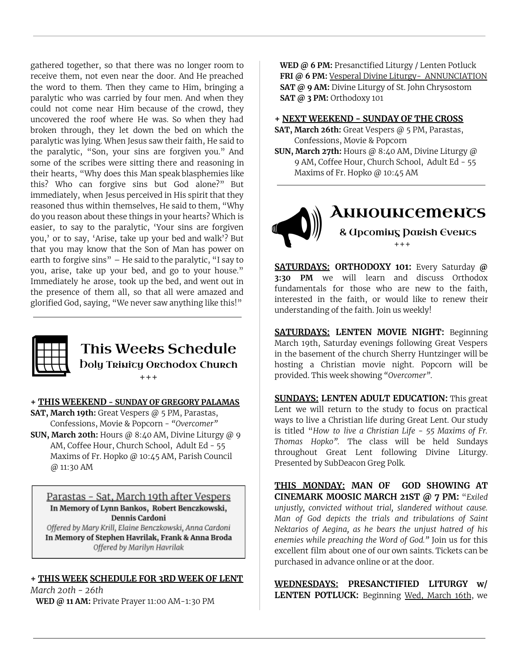gathered together, so that there was no longer room to receive them, not even near the door. And He preached the word to them. Then they came to Him, bringing a paralytic who was carried by four men. And when they could not come near Him because of the crowd, they uncovered the roof where He was. So when they had broken through, they let down the bed on which the paralytic was lying. When Jesus saw their faith, He said to the paralytic, "Son, your sins are forgiven you." And some of the scribes were sitting there and reasoning in their hearts, "Why does this Man speak blasphemies like this? Who can forgive sins but God alone?" But immediately, when Jesus perceived in His spirit that they reasoned thus within themselves, He said to them, "Why do you reason about these things in your hearts? Which is easier, to say to the paralytic, 'Your sins are forgiven you,' or to say, 'Arise, take up your bed and walk'? But that you may know that the Son of Man has power on earth to forgive sins" – He said to the paralytic, "I say to you, arise, take up your bed, and go to your house." Immediately he arose, took up the bed, and went out in the presence of them all, so that all were amazed and glorified God, saying, "We never saw anything like this!"



# This Weeks Schedule

**Doly Trinity Orthodox Church** +++

#### **+ THIS WEEKEND - SUNDAY OF GREGORY PALAMAS**

**SAT, March 19th:** Great Vespers @ 5 PM, Parastas, Confessions, Movie & Popcorn - *"Overcomer"* **SUN, March 20th:** Hours @ 8:40 AM, Divine Liturgy @ 9 AM, Coffee Hour, Church School, Adult Ed - 55 Maxims of Fr. Hopko @ 10:45 AM, Parish Council

@ 11:30 AM

Parastas - Sat, March 19th after Vespers In Memory of Lynn Bankos, Robert Benczkowski, Dennis Cardoni

Offered by Mary Krill, Elaine Benczkowski, Anna Cardoni In Memory of Stephen Havrilak, Frank & Anna Broda Offered by Marilyn Havrilak

#### **+ THIS WEEK SCHEDULE FOR 3RD WEEK OF LENT**

*March 20th - 26th* **WED @ 11 AM:** Private Prayer 11:00 AM-1:30 PM

**WED @ 6 PM:** Presanctified Liturgy / Lenten Potluck **FRI @ 6 PM:** Vesperal Divine Liturgy- ANNUNCIATION **SAT @ 9 AM:** Divine Liturgy of St. John Chrysostom **SAT @ 3 PM:** Orthodoxy 101

**+ NEXT WEEKEND - SUNDAY OF THE CROSS**

- **SAT, March 26th:** Great Vespers @ 5 PM, Parastas, Confessions, Movie & Popcorn
- **SUN, March 27th:** Hours @ 8:40 AM, Divine Liturgy @ 9 AM, Coffee Hour, Church School, Adult Ed - 55 Maxims of Fr. Hopko @ 10:45 AM

## **ANNOUNCEMENTS** & Upcoming Parish Events +++

**SATURDAYS: ORTHODOXY 101:** Every Saturday **@ 3:30 PM** we will learn and discuss Orthodox fundamentals for those who are new to the faith, interested in the faith, or would like to renew their understanding of the faith. Join us weekly!

**SATURDAYS: LENTEN MOVIE NIGHT:** Beginning March 19th, Saturday evenings following Great Vespers in the basement of the church Sherry Huntzinger will be hosting a Christian movie night. Popcorn will be provided. This week showing *"Overcomer"*.

**SUNDAYS: LENTEN ADULT EDUCATION:** This great Lent we will return to the study to focus on practical ways to live a Christian life during Great Lent. Our study is titled "*How to live a Christian Life - 55 Maxims of Fr. Thomas Hopko".* The class will be held Sundays throughout Great Lent following Divine Liturgy. Presented by SubDeacon Greg Polk.

**THIS MONDAY: MAN OF GOD SHOWING AT CINEMARK MOOSIC MARCH 21ST @ 7 PM:** "*Exiled unjustly, convicted without trial, slandered without cause. Man of God depicts the trials and tribulations of Saint Nektarios of Aegina, as he bears the unjust hatred of his enemies while preaching the Word of God."* Join us for this excellent film about one of our own saints. Tickets can be purchased in advance online or at the door.

**WEDNESDAYS: PRESANCTIFIED LITURGY w/ LENTEN POTLUCK:** Beginning Wed, March 16th, we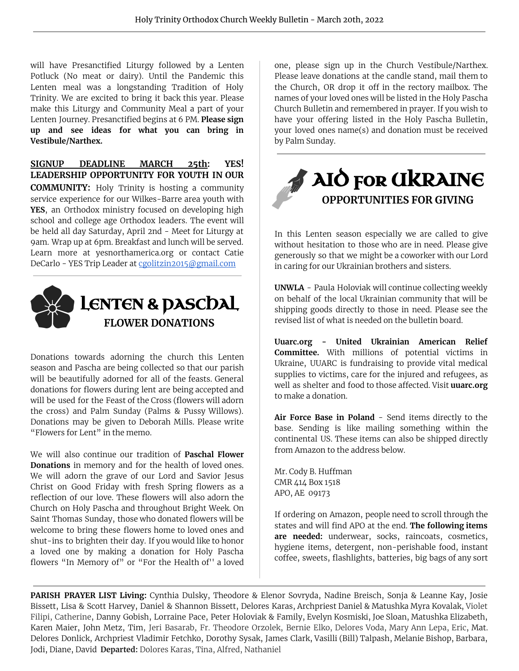will have Presanctified Liturgy followed by a Lenten Potluck (No meat or dairy). Until the Pandemic this Lenten meal was a longstanding Tradition of Holy Trinity. We are excited to bring it back this year. Please make this Liturgy and Community Meal a part of your Lenten Journey. Presanctified begins at 6 PM. **Please sign up and see ideas for what you can bring in Vestibule/Narthex.**

**SIGNUP DEADLINE MARCH 25th: YES! LEADERSHIP OPPORTUNITY FOR YOUTH IN OUR COMMUNITY:** Holy Trinity is hosting a community service experience for our Wilkes-Barre area youth with **YES**, an Orthodox ministry focused on developing high school and college age Orthodox leaders. The event will be held all day Saturday, April 2nd - Meet for Liturgy at 9am. Wrap up at 6pm. Breakfast and lunch will be served. Learn more at yesnorthamerica.org or contact Catie DeCarlo - YES Trip Leader at [cgolitzin2015@gmail.com](mailto:cgolitzin2015@gmail.com)



Donations towards adorning the church this Lenten season and Pascha are being collected so that our parish will be beautifully adorned for all of the feasts. General donations for flowers during lent are being accepted and will be used for the Feast of the Cross (flowers will adorn the cross) and Palm Sunday (Palms & Pussy Willows). Donations may be given to Deborah Mills. Please write "Flowers for Lent" in the memo.

We will also continue our tradition of **Paschal Flower Donations** in memory and for the health of loved ones. We will adorn the grave of our Lord and Savior Jesus Christ on Good Friday with fresh Spring flowers as a reflection of our love. These flowers will also adorn the Church on Holy Pascha and throughout Bright Week. On Saint Thomas Sunday, those who donated flowers will be welcome to bring these flowers home to loved ones and shut-ins to brighten their day. If you would like to honor a loved one by making a donation for Holy Pascha flowers "In Memory of" or "For the Health of'' a loved one, please sign up in the Church Vestibule/Narthex. Please leave donations at the candle stand, mail them to the Church, OR drop it off in the rectory mailbox. The names of your loved ones will be listed in the Holy Pascha Church Bulletin and remembered in prayer. If you wish to have your offering listed in the Holy Pascha Bulletin, your loved ones name(s) and donation must be received by Palm Sunday.



In this Lenten season especially we are called to give without hesitation to those who are in need. Please give generously so that we might be a coworker with our Lord in caring for our Ukrainian brothers and sisters.

**UNWLA** - Paula Holoviak will continue collecting weekly on behalf of the local Ukrainian community that will be shipping goods directly to those in need. Please see the revised list of what is needed on the bulletin board.

**Uuarc.org - United Ukrainian American Relief Committee.** With millions of potential victims in Ukraine, UUARC is fundraising to provide vital medical supplies to victims, care for the injured and refugees, as well as shelter and food to those affected. Visit **uuarc.org** to make a donation.

**Air Force Base in Poland** - Send items directly to the base. Sending is like mailing something within the continental US. These items can also be shipped directly from Amazon to the address below.

Mr. Cody B. Huffman CMR 414 Box 1518 APO, AE 09173

If ordering on Amazon, people need to scroll through the states and will find APO at the end. **The following items are needed:** underwear, socks, raincoats, cosmetics, hygiene items, detergent, non-perishable food, instant coffee, sweets, flashlights, batteries, big bags of any sort

**PARISH PRAYER LIST Living:** Cynthia Dulsky, Theodore & Elenor Sovryda, Nadine Breisch, Sonja & Leanne Kay, Josie Bissett, Lisa & Scott Harvey, Daniel & Shannon Bissett, Delores Karas, Archpriest Daniel & Matushka Myra Kovalak, Violet Filipi, Catherine, Danny Gobish, Lorraine Pace, Peter Holoviak & Family, Evelyn Kosmiski, Joe Sloan, Matushka Elizabeth, Karen Maier, John Metz, Tim, Jeri Basarab, Fr. Theodore Orzolek, Bernie Elko, Delores Voda, Mary Ann Lepa, Eric, Mat. Delores Donlick, Archpriest Vladimir Fetchko, Dorothy Sysak, James Clark, Vasilli (Bill) Talpash, Melanie Bishop, Barbara, Jodi, Diane, David **Departed:** Dolores Karas, Tina, Alfred, Nathaniel